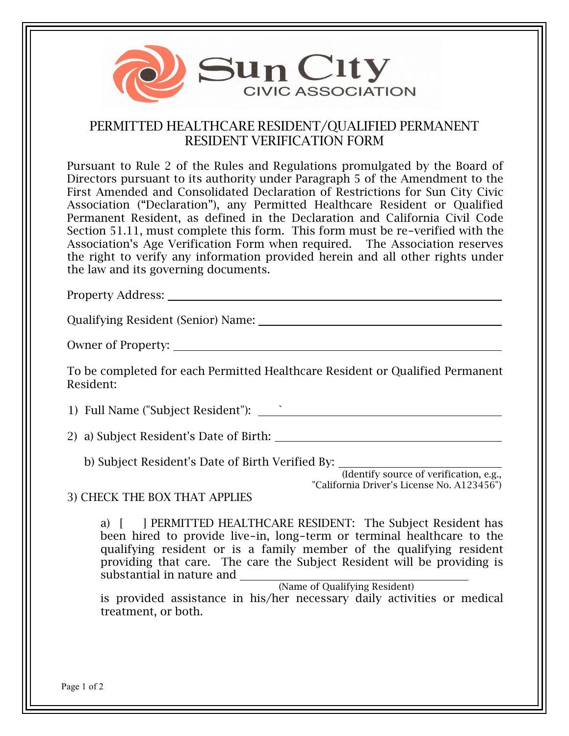

## PERMITTED HEALTHCARE RESIDENT/QUALIFIED PERMANENT RESIDENT VERIFICATION FORM

Pursuant to Rule 2 of the Rules and Regulations promulgated by the Board of Directors pursuant to its authority under Paragraph 5 of the Amendment to the First Amended and Consolidated Declaration of Restrictions for Sun City Civic Association ("Declaration"), any Permitted Healthcare Resident or Qualified Permanent Resident, as defined in the Declaration and California Civil Code Section 51.11, must complete this form. This form must be re-verified with the Association's Age Verification Form when required. The Association reserves the right to verify any information provided herein and all other rights under the law and its governing documents.

Property Address:

Qualifying Resident (Senior) Name:

Owner of Property:

To be completed for each Permitted Healthcare Resident or Qualified Permanent Resident:

1) Full Name ("Subject Resident"): `

2) a) Subject Resident's Date of Birth:

b) Subject Resident's Date of Birth Verified By:

(Identify source of verification, e.g., "California Driver's License No. A123456")

## 3) CHECK THE BOX THAT APPLIES

a) [ ] PERMITTED HEALTHCARE RESIDENT: The Subject Resident has been hired to provide live-in, long-term or terminal healthcare to the qualifying resident or is a family member of the qualifying resident providing that care. The care the Subject Resident will be providing is substantial in nature and

(Name of Qualifying Resident)

is provided assistance in his/her necessary daily activities or medical treatment, or both.